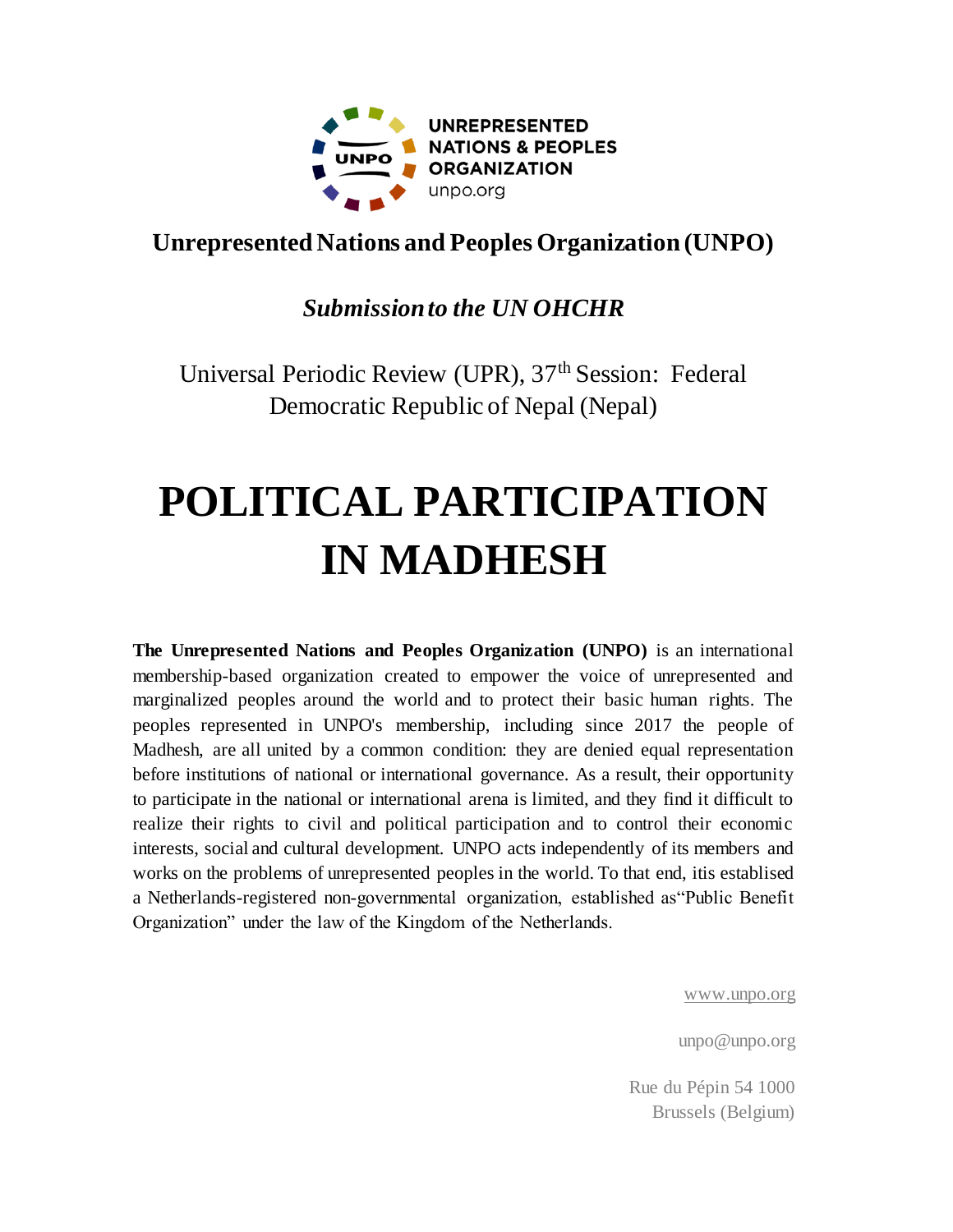

## **Unrepresented Nations and Peoples Organization (UNPO)**

### *Submission to the UN OHCHR*

Universal Periodic Review (UPR), 37<sup>th</sup> Session: Federal Democratic Republic of Nepal (Nepal)

# **POLITICAL PARTICIPATION IN MADHESH**

**The Unrepresented Nations and Peoples Organization (UNPO)** is an international membership-based organization created to empower the voice of unrepresented and marginalized peoples around the world and to protect their basic human rights. The peoples represented in UNPO's membership, including since 2017 the people of Madhesh, are all united by a common condition: they are denied equal representation before institutions of national or international governance. As a result, their opportunity to participate in the national or international arena is limited, and they find it difficult to realize their rights to civil and political participation and to control their economic interests, social and cultural development. UNPO acts independently of its members and works on the problems of unrepresented peoples in the world. To that end, itis establised a Netherlands-registered non-governmental organization, established as"Public Benefit Organization" under the law of the Kingdom of the Netherlands.

[www.unpo.org](http://www.unpo.org/)

unpo@unpo.org

Rue du Pépin 54 1000 Brussels (Belgium)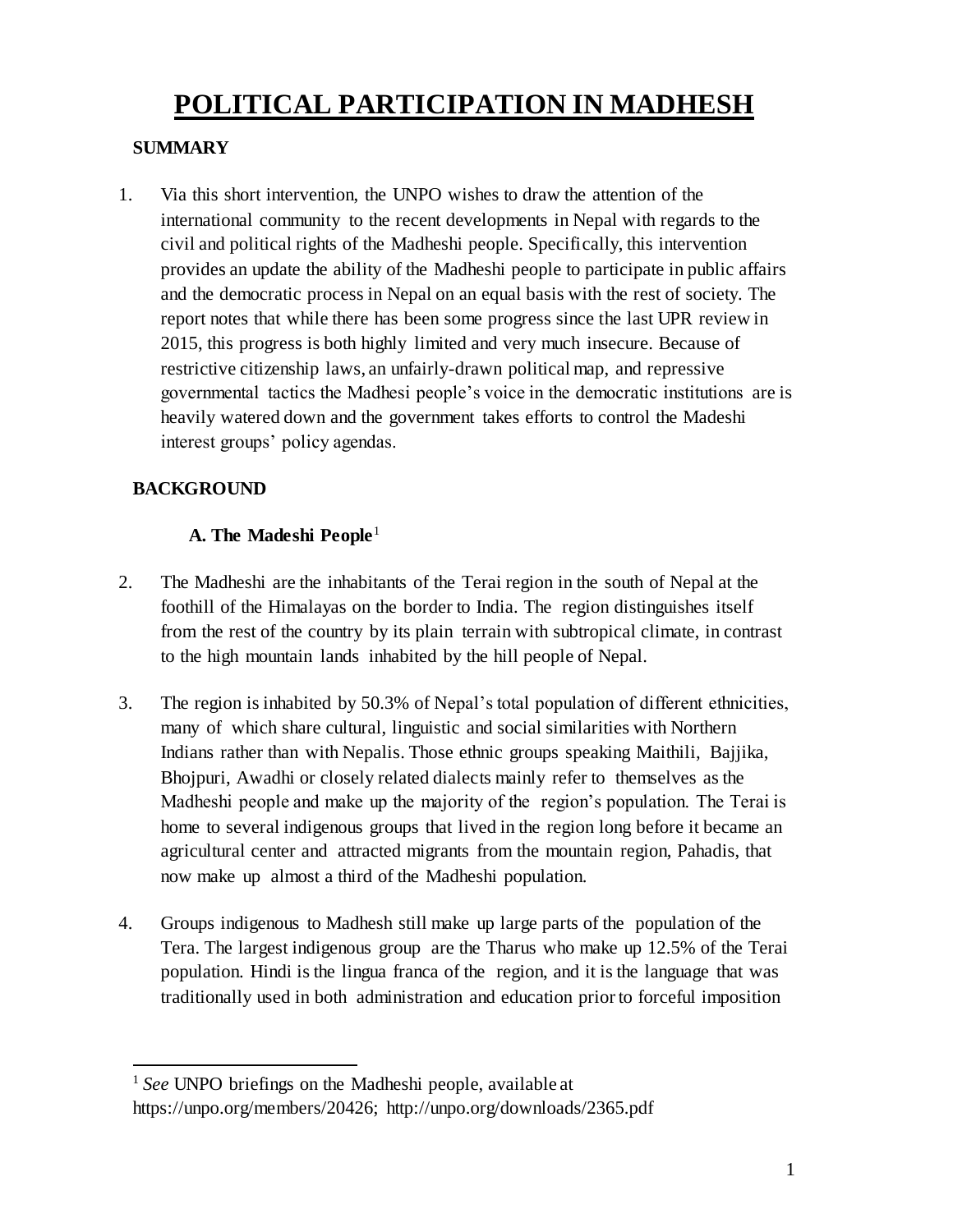# **POLITICAL PARTICIPATION IN MADHESH**

#### **SUMMARY**

1. Via this short intervention, the UNPO wishes to draw the attention of the international community to the recent developments in Nepal with regards to the civil and political rights of the Madheshi people. Specifically, this intervention provides an update the ability of the Madheshi people to participate in public affairs and the democratic process in Nepal on an equal basis with the rest of society. The report notes that while there has been some progress since the last UPR review in 2015, this progress is both highly limited and very much insecure. Because of restrictive citizenship laws, an unfairly-drawn political map, and repressive governmental tactics the Madhesi people's voice in the democratic institutions are is heavily watered down and the government takes efforts to control the Madeshi interest groups' policy agendas.

#### **BACKGROUND**

#### **A. The Madeshi People**<sup>1</sup>

- 2. The Madheshi are the inhabitants of the Terai region in the south of Nepal at the foothill of the Himalayas on the border to India. The region distinguishes itself from the rest of the country by its plain terrain with subtropical climate, in contrast to the high mountain lands inhabited by the hill people of Nepal.
- 3. The region is inhabited by 50.3% of Nepal's total population of different ethnicities, many of which share cultural, linguistic and social similarities with Northern Indians rather than with Nepalis. Those ethnic groups speaking Maithili, Bajjika, Bhojpuri, Awadhi or closely related dialects mainly refer to themselves as the Madheshi people and make up the majority of the region's population. The Terai is home to several indigenous groups that lived in the region long before it became an agricultural center and attracted migrants from the mountain region, Pahadis, that now make up almost a third of the Madheshi population.
- 4. Groups indigenous to Madhesh still make up large parts of the population of the Tera. The largest indigenous group are the Tharus who make up 12.5% of the Terai population. Hindi is the lingua franca of the region, and it is the language that was traditionally used in both administration and education prior to forceful imposition

 $\overline{a}$ <sup>1</sup> *See* UNPO briefings on the Madheshi people, available at https://unpo.org/members/20426; http://unpo.org/downloads/2365.pdf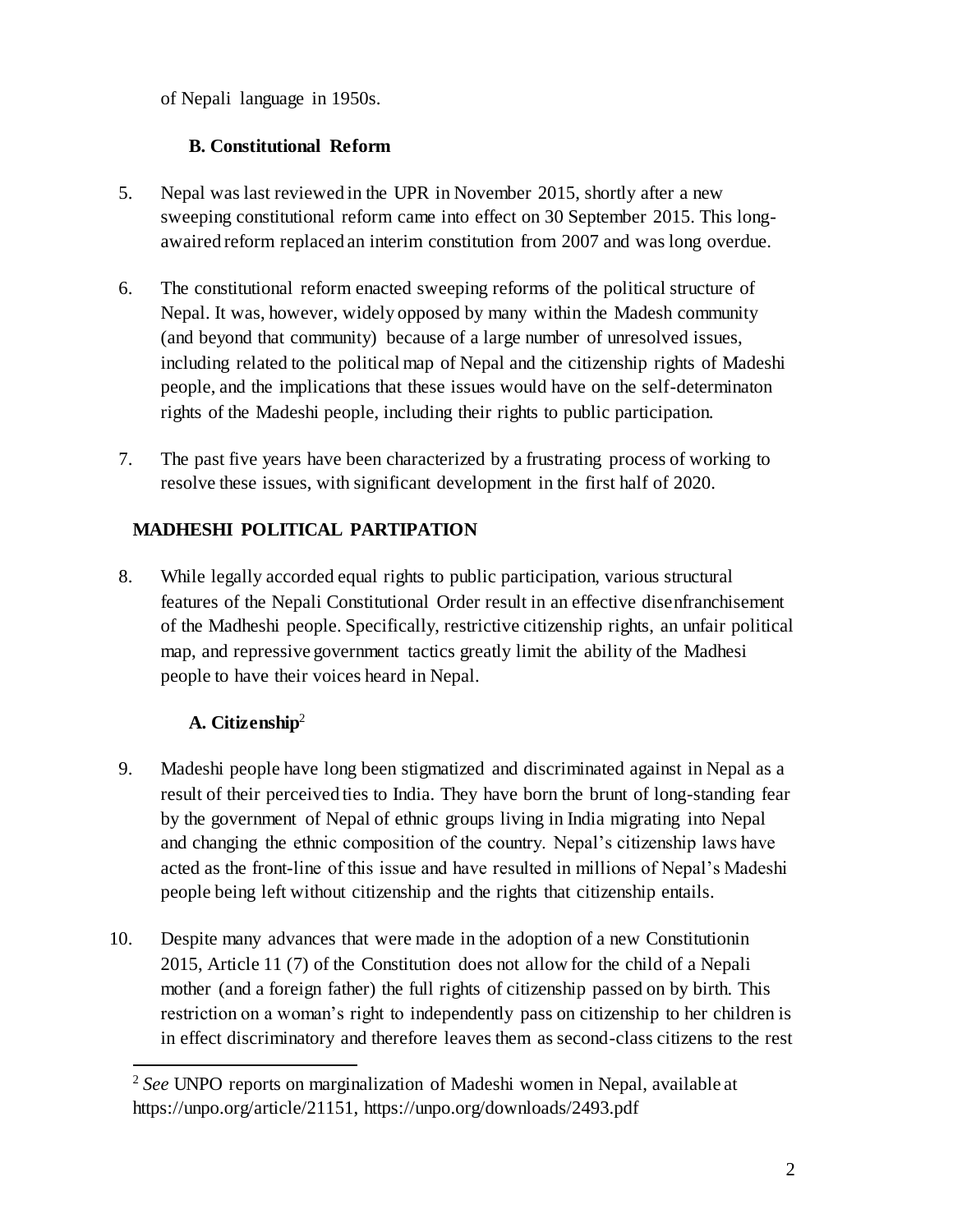of Nepali language in 1950s.

#### **B. Constitutional Reform**

- 5. Nepal was last reviewed in the UPR in November 2015, shortly after a new sweeping constitutional reform came into effect on 30 September 2015. This longawaired reform replaced an interim constitution from 2007 and was long overdue.
- 6. The constitutional reform enacted sweeping reforms of the political structure of Nepal. It was, however, widely opposed by many within the Madesh community (and beyond that community) because of a large number of unresolved issues, including related to the political map of Nepal and the citizenship rights of Madeshi people, and the implications that these issues would have on the self-determinaton rights of the Madeshi people, including their rights to public participation.
- 7. The past five years have been characterized by a frustrating process of working to resolve these issues, with significant development in the first half of 2020.

#### **MADHESHI POLITICAL PARTIPATION**

8. While legally accorded equal rights to public participation, various structural features of the Nepali Constitutional Order result in an effective disenfranchisement of the Madheshi people. Specifically, restrictive citizenship rights, an unfair political map, and repressive government tactics greatly limit the ability of the Madhesi people to have their voices heard in Nepal.

#### **A. Citizenship**<sup>2</sup>

 $\overline{a}$ 

- 9. Madeshi people have long been stigmatized and discriminated against in Nepal as a result of their perceived ties to India. They have born the brunt of long-standing fear by the government of Nepal of ethnic groups living in India migrating into Nepal and changing the ethnic composition of the country. Nepal's citizenship laws have acted as the front-line of this issue and have resulted in millions of Nepal's Madeshi people being left without citizenship and the rights that citizenship entails.
- 10. Despite many advances that were made in the adoption of a new Constitutionin 2015, Article 11 (7) of the Constitution does not allow for the child of a Nepali mother (and a foreign father) the full rights of citizenship passed on by birth. This restriction on a woman's right to independently pass on citizenship to her children is in effect discriminatory and therefore leaves them as second-class citizens to the rest

<sup>2</sup> *See* UNPO reports on marginalization of Madeshi women in Nepal, available at https://unpo.org/article/21151, https://unpo.org/downloads/2493.pdf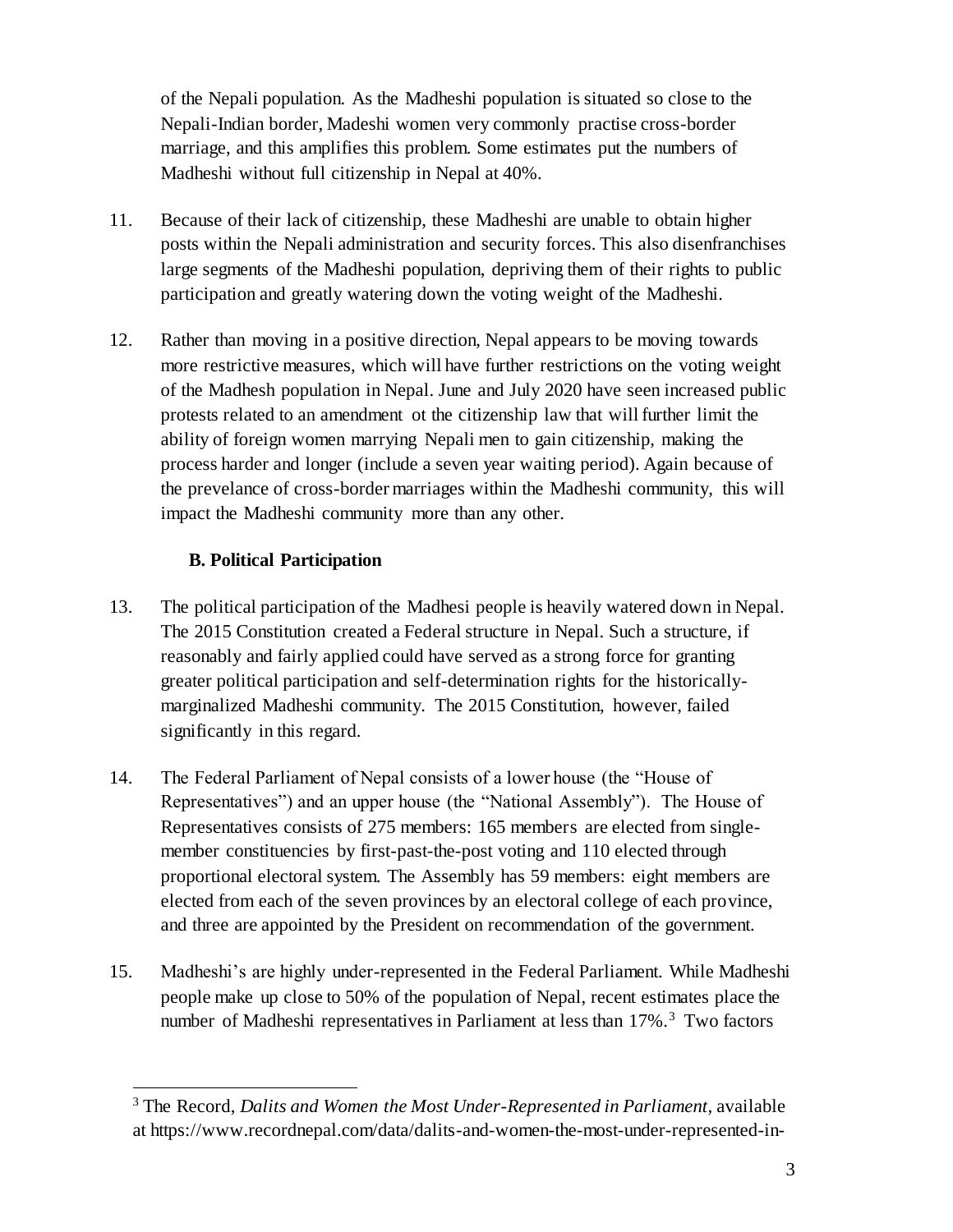of the Nepali population. As the Madheshi population is situated so close to the Nepali-Indian border, Madeshi women very commonly practise cross-border marriage, and this amplifies this problem. Some estimates put the numbers of Madheshi without full citizenship in Nepal at 40%.

- 11. Because of their lack of citizenship, these Madheshi are unable to obtain higher posts within the Nepali administration and security forces. This also disenfranchises large segments of the Madheshi population, depriving them of their rights to public participation and greatly watering down the voting weight of the Madheshi.
- 12. Rather than moving in a positive direction, Nepal appears to be moving towards more restrictive measures, which will have further restrictions on the voting weight of the Madhesh population in Nepal. June and July 2020 have seen increased public protests related to an amendment ot the citizenship law that will further limit the ability of foreign women marrying Nepali men to gain citizenship, making the process harder and longer (include a seven year waiting period). Again because of the prevelance of cross-border marriages within the Madheshi community, this will impact the Madheshi community more than any other.

#### **B. Political Participation**

- 13. The political participation of the Madhesi people is heavily watered down in Nepal. The 2015 Constitution created a Federal structure in Nepal. Such a structure, if reasonably and fairly applied could have served as a strong force for granting greater political participation and self-determination rights for the historicallymarginalized Madheshi community. The 2015 Constitution, however, failed significantly in this regard.
- 14. The Federal Parliament of Nepal consists of a lower house (the "House of Representatives") and an upper house (the "National Assembly"). The House of Representatives consists of 275 members: 165 members are elected from singlemember constituencies by first-past-the-post voting and 110 elected through proportional electoral system. The Assembly has 59 members: eight members are elected from each of the seven provinces by an electoral college of each province, and three are appointed by the President on recommendation of the government.
- 15. Madheshi's are highly under-represented in the Federal Parliament. While Madheshi people make up close to 50% of the population of Nepal, recent estimates place the number of Madheshi representatives in Parliament at less than 17%.<sup>3</sup> Two factors

<sup>3</sup> The Record, *Dalits and Women the Most Under-Represented in Parliament,* available at https://www.recordnepal.com/data/dalits-and-women-the-most-under-represented-in-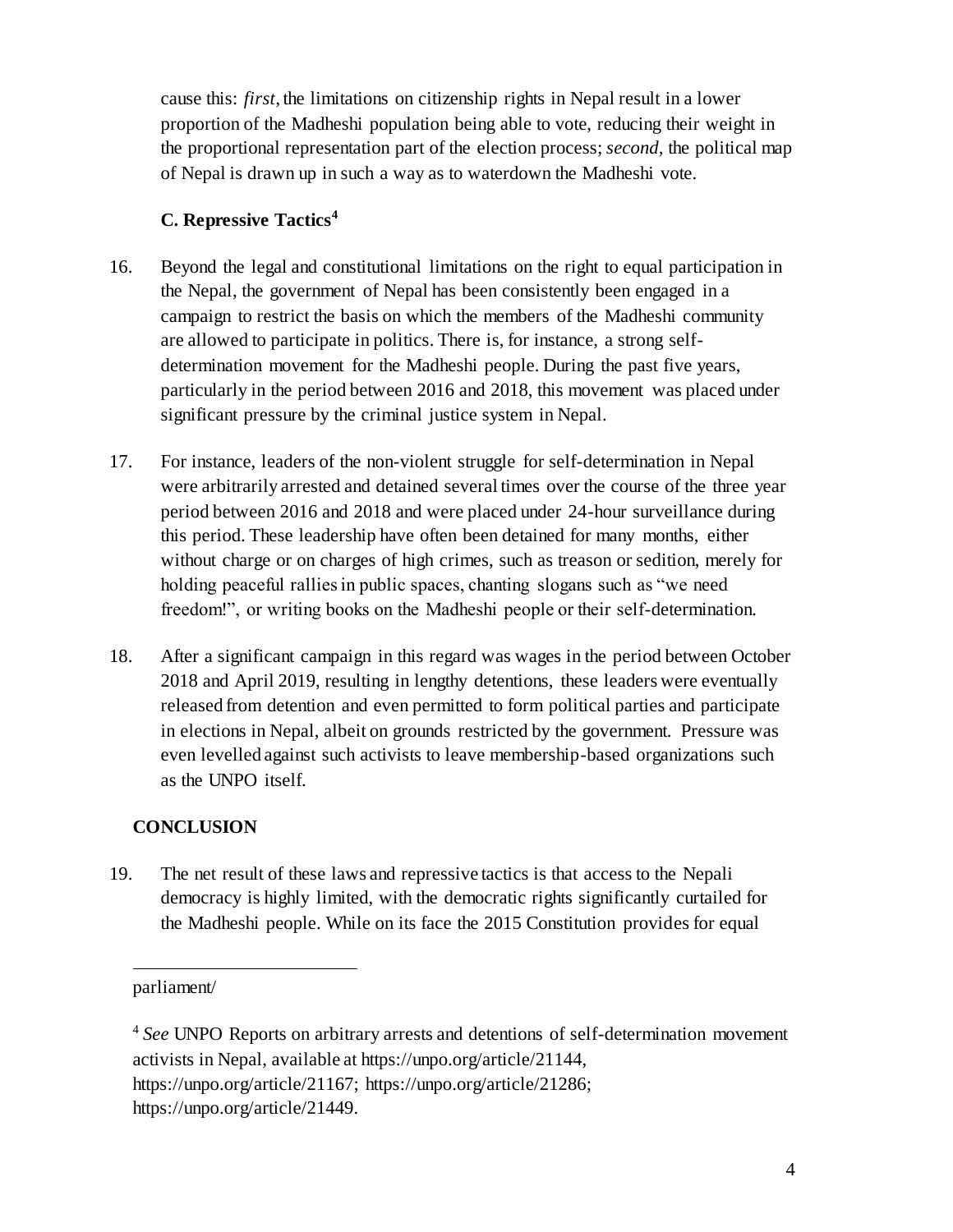cause this: *first*, the limitations on citizenship rights in Nepal result in a lower proportion of the Madheshi population being able to vote, reducing their weight in the proportional representation part of the election process; *second,* the political map of Nepal is drawn up in such a way as to waterdown the Madheshi vote.

#### **C. Repressive Tactics<sup>4</sup>**

- 16. Beyond the legal and constitutional limitations on the right to equal participation in the Nepal, the government of Nepal has been consistently been engaged in a campaign to restrict the basis on which the members of the Madheshi community are allowed to participate in politics. There is, for instance, a strong selfdetermination movement for the Madheshi people. During the past five years, particularly in the period between 2016 and 2018, this movement was placed under significant pressure by the criminal justice system in Nepal.
- 17. For instance, leaders of the non-violent struggle for self-determination in Nepal were arbitrarily arrested and detained several times over the course of the three year period between 2016 and 2018 and were placed under 24-hour surveillance during this period. These leadership have often been detained for many months, either without charge or on charges of high crimes, such as treason or sedition, merely for holding peaceful rallies in public spaces, chanting slogans such as "we need freedom!", or writing books on the Madheshi people or their self-determination.
- 18. After a significant campaign in this regard was wages in the period between October 2018 and April 2019, resulting in lengthy detentions, these leaders were eventually released from detention and even permitted to form political parties and participate in elections in Nepal, albeit on grounds restricted by the government. Pressure was even levelled against such activists to leave membership-based organizations such as the UNPO itself.

#### **CONCLUSION**

19. The net result of these laws and repressive tactics is that access to the Nepali democracy is highly limited, with the democratic rights significantly curtailed for the Madheshi people. While on its face the 2015 Constitution provides for equal

 $\overline{a}$ 

parliament/

<sup>4</sup> *See* UNPO Reports on arbitrary arrests and detentions of self-determination movement activists in Nepal, available at https://unpo.org/article/21144, https://unpo.org/article/21167; https://unpo.org/article/21286; https://unpo.org/article/21449.